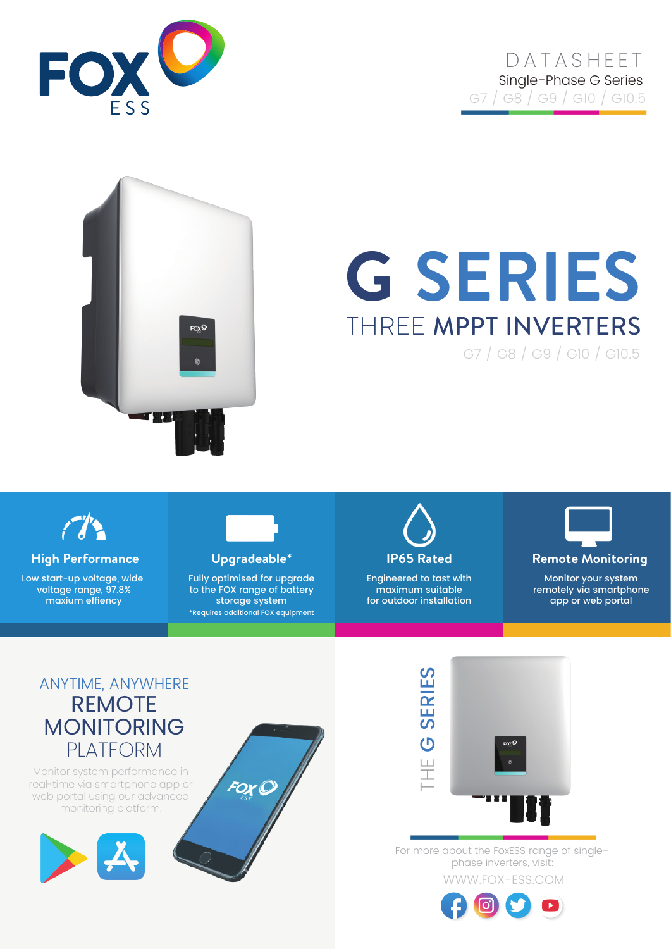

## **DATASHEET** Single-Phase G Series G7 / G8 / G9 / G10 / G10.5



# **G SERIES** THREE MPPT INVERTERS

G7 / G8 / G9 / G10 / G10.5



**High Performance Upgradeable\* IP65 Rated Remote Monitoring**

Low start-up voltage, wide voltage range, 97.8% maxium effiency



Fully optimised for upgrade to the FOX range of battery storage system \*Requires additional FOX equipment



Engineered to tast with maximum suitable for outdoor installation



Monitor your system remotely via smartphone app or web portal

## ANYTIME, ANYWHERE REMOTE MONITORING PLATFORM

Monitor system performance in real-time via smartphone app or web portal using our advanced monitoring platform.







WWW.FOX-ESS.COM For more about the FoxESS range of singlephase inverters, visit: